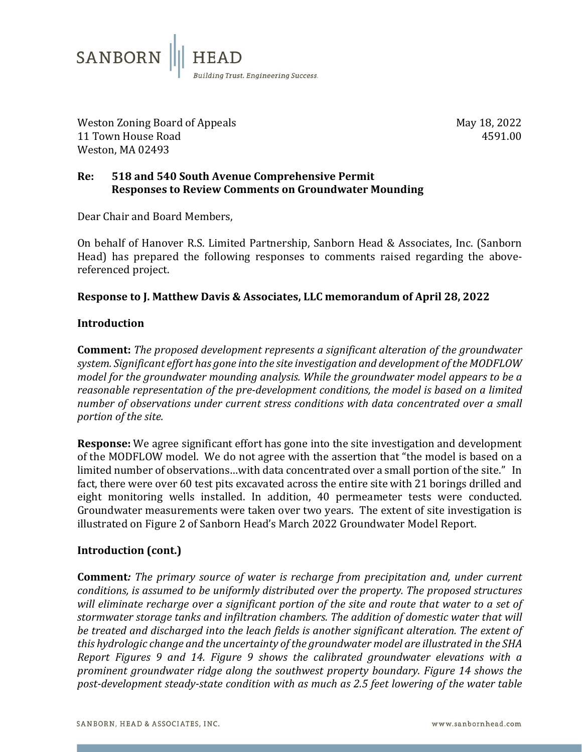

Weston Zoning Board of Appeals May 18, 2022 11 Town House Road Weston, MA 02493

# **Re: 518 and 540 South Avenue Comprehensive Permit Responses to Review Comments on Groundwater Mounding**

Dear Chair and Board Members,

On behalf of Hanover R.S. Limited Partnership, Sanborn Head & Associates, Inc. (Sanborn Head) has prepared the following responses to comments raised regarding the abovereferenced project.

## **Response to J. Matthew Davis & Associates, LLC memorandum of April 28, 2022**

#### **Introduction**

**Comment:** *The proposed development represents a significant alteration of the groundwater system. Significant effort has gone into the site investigation and development of the MODFLOW model for the groundwater mounding analysis. While the groundwater model appears to be a reasonable representation of the pre-development conditions, the model is based on a limited number of observations under current stress conditions with data concentrated over a small portion of the site.*

**Response:** We agree significant effort has gone into the site investigation and development of the MODFLOW model. We do not agree with the assertion that "the model is based on a limited number of observations…with data concentrated over a small portion of the site." In fact, there were over 60 test pits excavated across the entire site with 21 borings drilled and eight monitoring wells installed. In addition, 40 permeameter tests were conducted. Groundwater measurements were taken over two years. The extent of site investigation is illustrated on Figure 2 of Sanborn Head's March 2022 Groundwater Model Report.

## **Introduction (cont.)**

**Comment***: The primary source of water is recharge from precipitation and, under current conditions, is assumed to be uniformly distributed over the property. The proposed structures*  will eliminate recharge over a significant portion of the site and route that water to a set of *stormwater storage tanks and infiltration chambers. The addition of domestic water that will be treated and discharged into the leach fields is another significant alteration. The extent of this hydrologic change and the uncertainty of the groundwater model are illustrated in the SHA Report Figures 9 and 14. Figure 9 shows the calibrated groundwater elevations with a prominent groundwater ridge along the southwest property boundary. Figure 14 shows the post-development steady-state condition with as much as 2.5 feet lowering of the water table*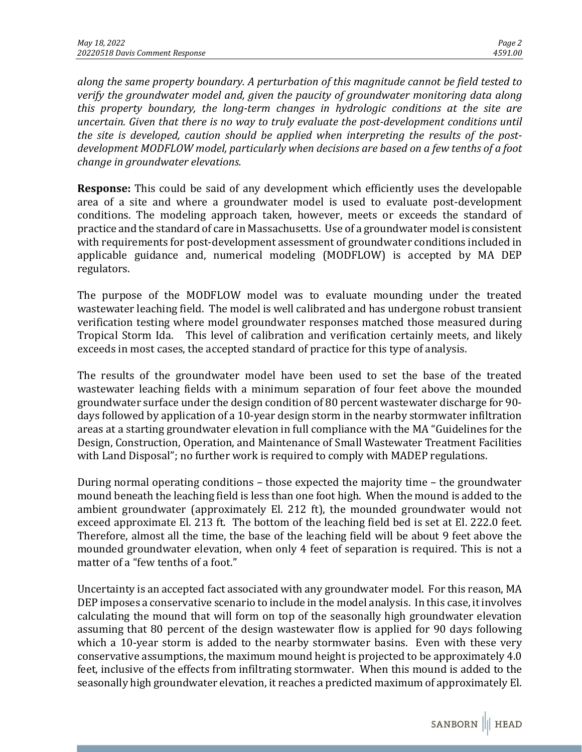*along the same property boundary. A perturbation of this magnitude cannot be field tested to verify the groundwater model and, given the paucity of groundwater monitoring data along this property boundary, the long-term changes in hydrologic conditions at the site are uncertain. Given that there is no way to truly evaluate the post-development conditions until the site is developed, caution should be applied when interpreting the results of the postdevelopment MODFLOW model, particularly when decisions are based on a few tenths of a foot change in groundwater elevations.* 

**Response:** This could be said of any development which efficiently uses the developable area of a site and where a groundwater model is used to evaluate post-development conditions. The modeling approach taken, however, meets or exceeds the standard of practice and the standard of care in Massachusetts. Use of a groundwater model is consistent with requirements for post-development assessment of groundwater conditions included in applicable guidance and, numerical modeling (MODFLOW) is accepted by MA DEP regulators.

The purpose of the MODFLOW model was to evaluate mounding under the treated wastewater leaching field. The model is well calibrated and has undergone robust transient verification testing where model groundwater responses matched those measured during Tropical Storm Ida. This level of calibration and verification certainly meets, and likely exceeds in most cases, the accepted standard of practice for this type of analysis.

The results of the groundwater model have been used to set the base of the treated wastewater leaching fields with a minimum separation of four feet above the mounded groundwater surface under the design condition of 80 percent wastewater discharge for 90 days followed by application of a 10-year design storm in the nearby stormwater infiltration areas at a starting groundwater elevation in full compliance with the MA "Guidelines for the Design, Construction, Operation, and Maintenance of Small Wastewater Treatment Facilities with Land Disposal"; no further work is required to comply with MADEP regulations.

During normal operating conditions – those expected the majority time – the groundwater mound beneath the leaching field is less than one foot high. When the mound is added to the ambient groundwater (approximately El. 212 ft), the mounded groundwater would not exceed approximate El. 213 ft. The bottom of the leaching field bed is set at El. 222.0 feet. Therefore, almost all the time, the base of the leaching field will be about 9 feet above the mounded groundwater elevation, when only 4 feet of separation is required. This is not a matter of a "few tenths of a foot."

Uncertainty is an accepted fact associated with any groundwater model. For this reason, MA DEP imposes a conservative scenario to include in the model analysis. In this case, it involves calculating the mound that will form on top of the seasonally high groundwater elevation assuming that 80 percent of the design wastewater flow is applied for 90 days following which a 10-year storm is added to the nearby stormwater basins. Even with these very conservative assumptions, the maximum mound height is projected to be approximately 4.0 feet, inclusive of the effects from infiltrating stormwater. When this mound is added to the seasonally high groundwater elevation, it reaches a predicted maximum of approximately El.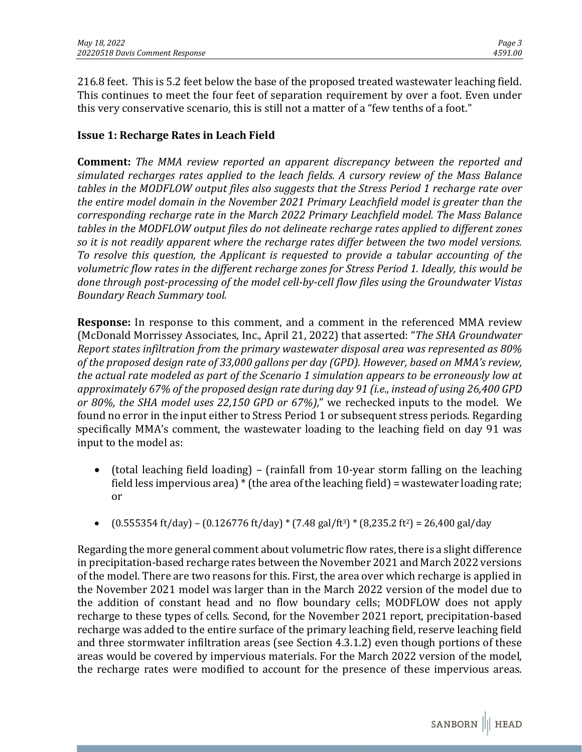216.8 feet. This is 5.2 feet below the base of the proposed treated wastewater leaching field. This continues to meet the four feet of separation requirement by over a foot. Even under this very conservative scenario, this is still not a matter of a "few tenths of a foot."

# **Issue 1: Recharge Rates in Leach Field**

**Comment:** *The MMA review reported an apparent discrepancy between the reported and simulated recharges rates applied to the leach fields. A cursory review of the Mass Balance tables in the MODFLOW output files also suggests that the Stress Period 1 recharge rate over the entire model domain in the November 2021 Primary Leachfield model is greater than the corresponding recharge rate in the March 2022 Primary Leachfield model. The Mass Balance tables in the MODFLOW output files do not delineate recharge rates applied to different zones so it is not readily apparent where the recharge rates differ between the two model versions. To resolve this question, the Applicant is requested to provide a tabular accounting of the volumetric flow rates in the different recharge zones for Stress Period 1. Ideally, this would be done through post-processing of the model cell-by-cell flow files using the Groundwater Vistas Boundary Reach Summary tool.*

**Response:** In response to this comment, and a comment in the referenced MMA review (McDonald Morrissey Associates, Inc., April 21, 2022) that asserted: "*The SHA Groundwater Report states infiltration from the primary wastewater disposal area was represented as 80% of the proposed design rate of 33,000 gallons per day (GPD). However, based on MMA's review, the actual rate modeled as part of the Scenario 1 simulation appears to be erroneously low at approximately 67% of the proposed design rate during day 91 (i.e., instead of using 26,400 GPD or 80%, the SHA model uses 22,150 GPD or 67%),*" we rechecked inputs to the model. We found no error in the input either to Stress Period 1 or subsequent stress periods. Regarding specifically MMA's comment, the wastewater loading to the leaching field on day 91 was input to the model as:

- (total leaching field loading) (rainfall from 10-year storm falling on the leaching field less impervious area) \* (the area of the leaching field) = wastewater loading rate; or
- $(0.555354 \text{ ft/day}) (0.126776 \text{ ft/day}) * (7.48 \text{ gal/ft}^3) * (8.235.2 \text{ ft}^2) = 26.400 \text{ gal/day}$

Regarding the more general comment about volumetric flow rates, there is a slight difference in precipitation-based recharge rates between the November 2021 and March 2022 versions of the model. There are two reasons for this. First, the area over which recharge is applied in the November 2021 model was larger than in the March 2022 version of the model due to the addition of constant head and no flow boundary cells; MODFLOW does not apply recharge to these types of cells. Second, for the November 2021 report, precipitation-based recharge was added to the entire surface of the primary leaching field, reserve leaching field and three stormwater infiltration areas (see Section 4.3.1.2) even though portions of these areas would be covered by impervious materials. For the March 2022 version of the model, the recharge rates were modified to account for the presence of these impervious areas.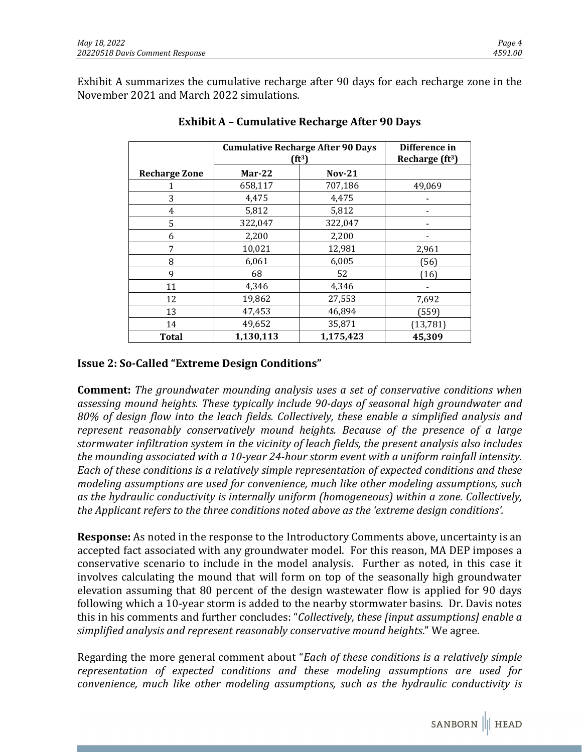|                      | <b>Cumulative Recharge After 90 Days</b><br>$(ft^3)$ |           | Difference in<br>Recharge $(ft3)$ |
|----------------------|------------------------------------------------------|-----------|-----------------------------------|
| <b>Recharge Zone</b> | $Mar-22$                                             | $Nov-21$  |                                   |
|                      | 658,117                                              | 707,186   | 49,069                            |
| 3                    | 4,475                                                | 4,475     |                                   |
| 4                    | 5,812                                                | 5,812     |                                   |
| 5                    | 322,047                                              | 322,047   |                                   |
| 6                    | 2,200                                                | 2,200     |                                   |
| 7                    | 10,021                                               | 12,981    | 2,961                             |
| 8                    | 6,061                                                | 6,005     | (56)                              |
| 9                    | 68                                                   | 52        | (16)                              |
| 11                   | 4,346                                                | 4,346     |                                   |
| 12                   | 19,862                                               | 27,553    | 7,692                             |
| 13                   | 47,453                                               | 46,894    | (559)                             |
| 14                   | 49,652                                               | 35,871    | (13, 781)                         |
| Total                | 1,130,113                                            | 1,175,423 | 45,309                            |

## **Exhibit A – Cumulative Recharge After 90 Days**

# **Issue 2: So-Called "Extreme Design Conditions"**

**Comment:** *The groundwater mounding analysis uses a set of conservative conditions when assessing mound heights. These typically include 90-days of seasonal high groundwater and 80% of design flow into the leach fields. Collectively, these enable a simplified analysis and represent reasonably conservatively mound heights. Because of the presence of a large stormwater infiltration system in the vicinity of leach fields, the present analysis also includes the mounding associated with a 10-year 24-hour storm event with a uniform rainfall intensity. Each of these conditions is a relatively simple representation of expected conditions and these modeling assumptions are used for convenience, much like other modeling assumptions, such as the hydraulic conductivity is internally uniform (homogeneous) within a zone. Collectively, the Applicant refers to the three conditions noted above as the 'extreme design conditions'.*

**Response:** As noted in the response to the Introductory Comments above, uncertainty is an accepted fact associated with any groundwater model. For this reason, MA DEP imposes a conservative scenario to include in the model analysis. Further as noted, in this case it involves calculating the mound that will form on top of the seasonally high groundwater elevation assuming that 80 percent of the design wastewater flow is applied for 90 days following which a 10-year storm is added to the nearby stormwater basins. Dr. Davis notes this in his comments and further concludes: "*Collectively, these [input assumptions] enable a simplified analysis and represent reasonably conservative mound heights*." We agree.

Regarding the more general comment about "*Each of these conditions is a relatively simple representation of expected conditions and these modeling assumptions are used for convenience, much like other modeling assumptions, such as the hydraulic conductivity is*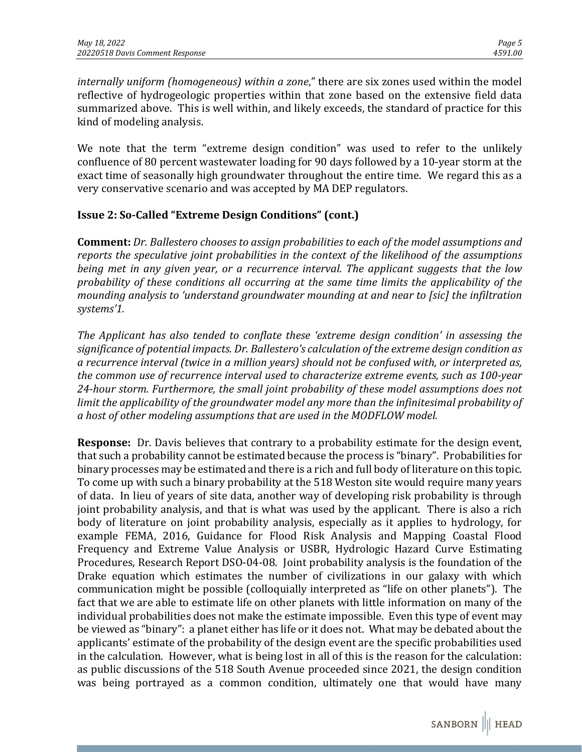*internally uniform (homogeneous) within a zone*," there are six zones used within the model reflective of hydrogeologic properties within that zone based on the extensive field data summarized above. This is well within, and likely exceeds, the standard of practice for this kind of modeling analysis.

We note that the term "extreme design condition" was used to refer to the unlikely confluence of 80 percent wastewater loading for 90 days followed by a 10-year storm at the exact time of seasonally high groundwater throughout the entire time. We regard this as a very conservative scenario and was accepted by MA DEP regulators.

## **Issue 2: So-Called "Extreme Design Conditions" (cont.)**

**Comment:** *Dr. Ballestero chooses to assign probabilities to each of the model assumptions and reports the speculative joint probabilities in the context of the likelihood of the assumptions being met in any given year, or a recurrence interval. The applicant suggests that the low probability of these conditions all occurring at the same time limits the applicability of the mounding analysis to 'understand groundwater mounding at and near to [sic] the infiltration systems'1.*

*The Applicant has also tended to conflate these 'extreme design condition' in assessing the significance of potential impacts. Dr. Ballestero's calculation of the extreme design condition as a recurrence interval (twice in a million years) should not be confused with, or interpreted as, the common use of recurrence interval used to characterize extreme events, such as 100-year 24-hour storm. Furthermore, the small joint probability of these model assumptions does not limit the applicability of the groundwater model any more than the infinitesimal probability of a host of other modeling assumptions that are used in the MODFLOW model.*

**Response:** Dr. Davis believes that contrary to a probability estimate for the design event, that such a probability cannot be estimated because the process is "binary". Probabilities for binary processes may be estimated and there is a rich and full body of literature on this topic. To come up with such a binary probability at the 518 Weston site would require many years of data. In lieu of years of site data, another way of developing risk probability is through joint probability analysis, and that is what was used by the applicant. There is also a rich body of literature on joint probability analysis, especially as it applies to hydrology, for example FEMA, 2016, Guidance for Flood Risk Analysis and Mapping Coastal Flood Frequency and Extreme Value Analysis or USBR, Hydrologic Hazard Curve Estimating Procedures, Research Report DSO-04-08. Joint probability analysis is the foundation of the Drake equation which estimates the number of civilizations in our galaxy with which communication might be possible (colloquially interpreted as "life on other planets"). The fact that we are able to estimate life on other planets with little information on many of the individual probabilities does not make the estimate impossible. Even this type of event may be viewed as "binary": a planet either has life or it does not. What may be debated about the applicants' estimate of the probability of the design event are the specific probabilities used in the calculation. However, what is being lost in all of this is the reason for the calculation: as public discussions of the 518 South Avenue proceeded since 2021, the design condition was being portrayed as a common condition, ultimately one that would have many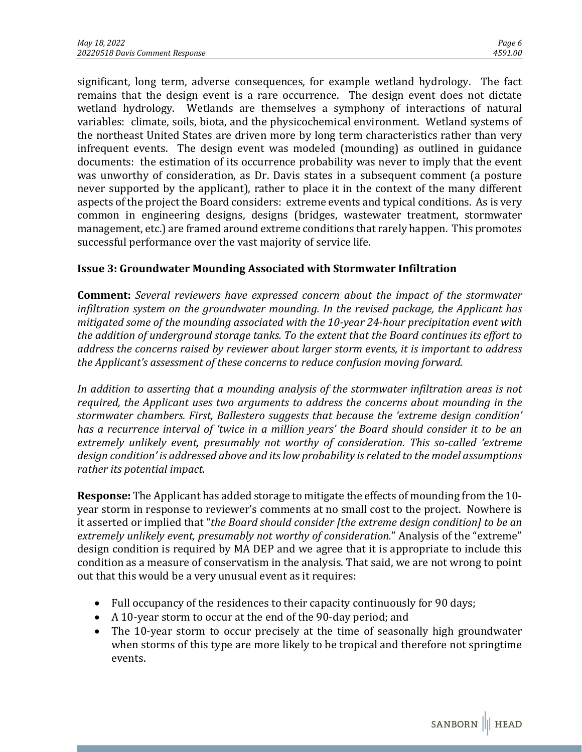significant, long term, adverse consequences, for example wetland hydrology. The fact remains that the design event is a rare occurrence. The design event does not dictate wetland hydrology. Wetlands are themselves a symphony of interactions of natural variables: climate, soils, biota, and the physicochemical environment. Wetland systems of the northeast United States are driven more by long term characteristics rather than very infrequent events. The design event was modeled (mounding) as outlined in guidance documents: the estimation of its occurrence probability was never to imply that the event was unworthy of consideration, as Dr. Davis states in a subsequent comment (a posture never supported by the applicant), rather to place it in the context of the many different aspects of the project the Board considers: extreme events and typical conditions. As is very common in engineering designs, designs (bridges, wastewater treatment, stormwater management, etc.) are framed around extreme conditions that rarely happen. This promotes successful performance over the vast majority of service life.

# **Issue 3: Groundwater Mounding Associated with Stormwater Infiltration**

**Comment:** *Several reviewers have expressed concern about the impact of the stormwater infiltration system on the groundwater mounding. In the revised package, the Applicant has mitigated some of the mounding associated with the 10-year 24-hour precipitation event with the addition of underground storage tanks. To the extent that the Board continues its effort to address the concerns raised by reviewer about larger storm events, it is important to address the Applicant's assessment of these concerns to reduce confusion moving forward.*

In addition to asserting that a mounding analysis of the stormwater infiltration areas is not *required, the Applicant uses two arguments to address the concerns about mounding in the stormwater chambers. First, Ballestero suggests that because the 'extreme design condition' has a recurrence interval of 'twice in a million years' the Board should consider it to be an extremely unlikely event, presumably not worthy of consideration. This so-called 'extreme design condition' is addressed above and its low probability is related to the model assumptions rather its potential impact.*

**Response:** The Applicant has added storage to mitigate the effects of mounding from the 10 year storm in response to reviewer's comments at no small cost to the project. Nowhere is it asserted or implied that "*the Board should consider [the extreme design condition] to be an extremely unlikely event, presumably not worthy of consideration.*" Analysis of the "extreme" design condition is required by MA DEP and we agree that it is appropriate to include this condition as a measure of conservatism in the analysis. That said, we are not wrong to point out that this would be a very unusual event as it requires:

- Full occupancy of the residences to their capacity continuously for 90 days;
- A 10-year storm to occur at the end of the 90-day period; and
- The 10-year storm to occur precisely at the time of seasonally high groundwater when storms of this type are more likely to be tropical and therefore not springtime events.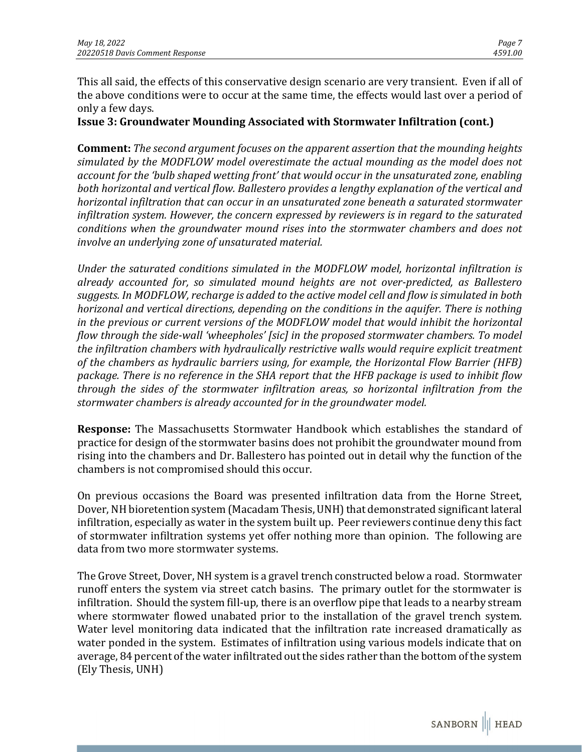This all said, the effects of this conservative design scenario are very transient. Even if all of the above conditions were to occur at the same time, the effects would last over a period of only a few days.

**Issue 3: Groundwater Mounding Associated with Stormwater Infiltration (cont.)**

**Comment:** *The second argument focuses on the apparent assertion that the mounding heights simulated by the MODFLOW model overestimate the actual mounding as the model does not account for the 'bulb shaped wetting front' that would occur in the unsaturated zone, enabling both horizontal and vertical flow. Ballestero provides a lengthy explanation of the vertical and horizontal infiltration that can occur in an unsaturated zone beneath a saturated stormwater infiltration system. However, the concern expressed by reviewers is in regard to the saturated conditions when the groundwater mound rises into the stormwater chambers and does not involve an underlying zone of unsaturated material.*

*Under the saturated conditions simulated in the MODFLOW model, horizontal infiltration is already accounted for, so simulated mound heights are not over-predicted, as Ballestero suggests. In MODFLOW, recharge is added to the active model cell and flow is simulated in both horizonal and vertical directions, depending on the conditions in the aquifer. There is nothing in the previous or current versions of the MODFLOW model that would inhibit the horizontal flow through the side-wall 'wheepholes' [sic] in the proposed stormwater chambers. To model the infiltration chambers with hydraulically restrictive walls would require explicit treatment of the chambers as hydraulic barriers using, for example, the Horizontal Flow Barrier (HFB) package. There is no reference in the SHA report that the HFB package is used to inhibit flow through the sides of the stormwater infiltration areas, so horizontal infiltration from the stormwater chambers is already accounted for in the groundwater model.*

**Response:** The Massachusetts Stormwater Handbook which establishes the standard of practice for design of the stormwater basins does not prohibit the groundwater mound from rising into the chambers and Dr. Ballestero has pointed out in detail why the function of the chambers is not compromised should this occur.

On previous occasions the Board was presented infiltration data from the Horne Street, Dover, NH bioretention system (Macadam Thesis, UNH) that demonstrated significant lateral infiltration, especially as water in the system built up. Peer reviewers continue deny this fact of stormwater infiltration systems yet offer nothing more than opinion. The following are data from two more stormwater systems.

The Grove Street, Dover, NH system is a gravel trench constructed below a road. Stormwater runoff enters the system via street catch basins. The primary outlet for the stormwater is infiltration. Should the system fill-up, there is an overflow pipe that leads to a nearby stream where stormwater flowed unabated prior to the installation of the gravel trench system. Water level monitoring data indicated that the infiltration rate increased dramatically as water ponded in the system. Estimates of infiltration using various models indicate that on average, 84 percent of the water infiltrated out the sides rather than the bottom of the system (Ely Thesis, UNH)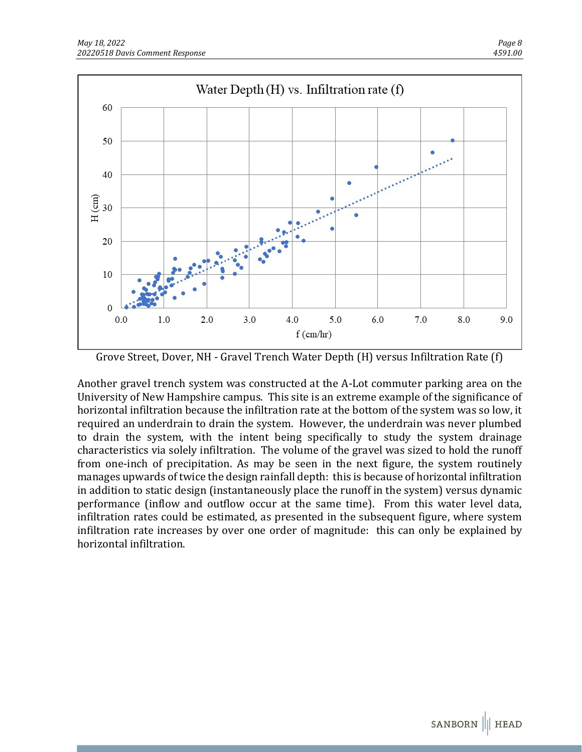

Grove Street, Dover, NH - Gravel Trench Water Depth (H) versus Infiltration Rate (f)

Another gravel trench system was constructed at the A-Lot commuter parking area on the University of New Hampshire campus. This site is an extreme example of the significance of horizontal infiltration because the infiltration rate at the bottom of the system was so low, it required an underdrain to drain the system. However, the underdrain was never plumbed to drain the system, with the intent being specifically to study the system drainage characteristics via solely infiltration. The volume of the gravel was sized to hold the runoff from one-inch of precipitation. As may be seen in the next figure, the system routinely manages upwards of twice the design rainfall depth: this is because of horizontal infiltration in addition to static design (instantaneously place the runoff in the system) versus dynamic performance (inflow and outflow occur at the same time). From this water level data, infiltration rates could be estimated, as presented in the subsequent figure, where system infiltration rate increases by over one order of magnitude: this can only be explained by horizontal infiltration.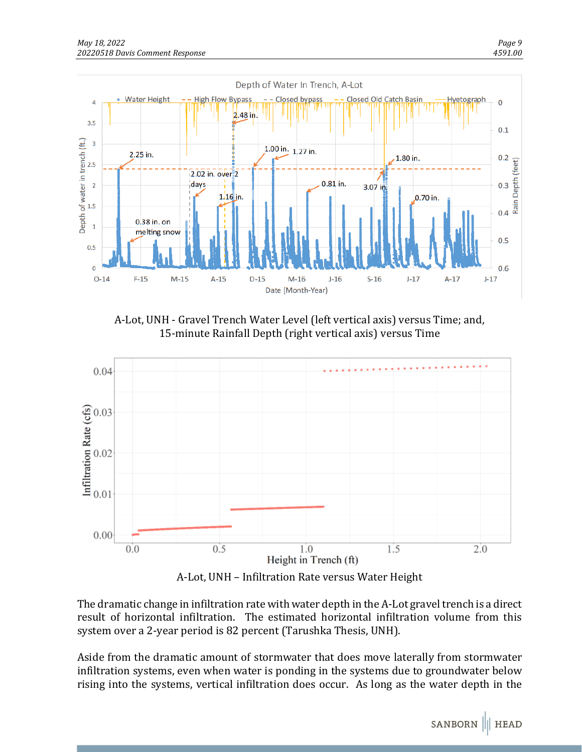![](_page_8_Figure_2.jpeg)

A-Lot, UNH - Gravel Trench Water Level (left vertical axis) versus Time; and, 15-minute Rainfall Depth (right vertical axis) versus Time

![](_page_8_Figure_4.jpeg)

A-Lot, UNH – Infiltration Rate versus Water Height

The dramatic change in infiltration rate with water depth in the A-Lot gravel trench is a direct result of horizontal infiltration. The estimated horizontal infiltration volume from this system over a 2-year period is 82 percent (Tarushka Thesis, UNH).

Aside from the dramatic amount of stormwater that does move laterally from stormwater infiltration systems, even when water is ponding in the systems due to groundwater below rising into the systems, vertical infiltration does occur. As long as the water depth in the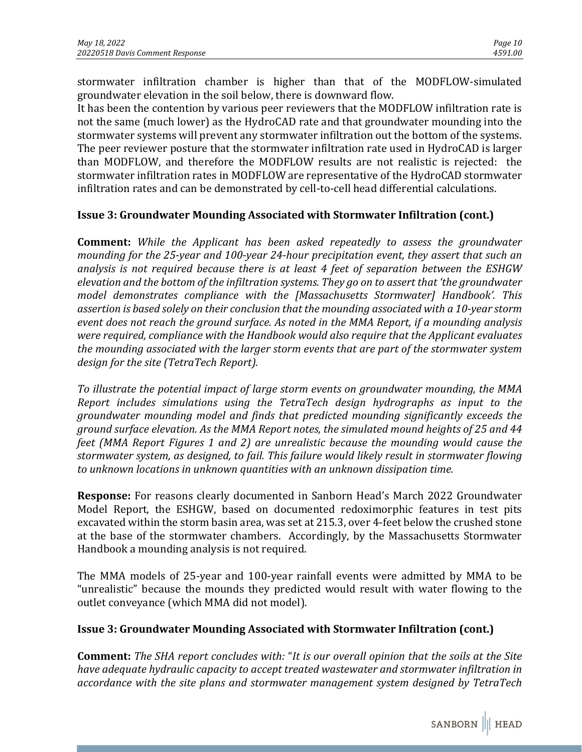stormwater infiltration chamber is higher than that of the MODFLOW-simulated groundwater elevation in the soil below, there is downward flow.

It has been the contention by various peer reviewers that the MODFLOW infiltration rate is not the same (much lower) as the HydroCAD rate and that groundwater mounding into the stormwater systems will prevent any stormwater infiltration out the bottom of the systems. The peer reviewer posture that the stormwater infiltration rate used in HydroCAD is larger than MODFLOW, and therefore the MODFLOW results are not realistic is rejected: the stormwater infiltration rates in MODFLOW are representative of the HydroCAD stormwater infiltration rates and can be demonstrated by cell-to-cell head differential calculations.

## **Issue 3: Groundwater Mounding Associated with Stormwater Infiltration (cont.)**

**Comment:** *While the Applicant has been asked repeatedly to assess the groundwater mounding for the 25-year and 100-year 24-hour precipitation event, they assert that such an analysis is not required because there is at least 4 feet of separation between the ESHGW elevation and the bottom of the infiltration systems. They go on to assert that 'the groundwater model demonstrates compliance with the [Massachusetts Stormwater] Handbook'. This assertion is based solely on their conclusion that the mounding associated with a 10-year storm event does not reach the ground surface. As noted in the MMA Report, if a mounding analysis were required, compliance with the Handbook would also require that the Applicant evaluates the mounding associated with the larger storm events that are part of the stormwater system design for the site (TetraTech Report).*

*To illustrate the potential impact of large storm events on groundwater mounding, the MMA Report includes simulations using the TetraTech design hydrographs as input to the groundwater mounding model and finds that predicted mounding significantly exceeds the ground surface elevation. As the MMA Report notes, the simulated mound heights of 25 and 44 feet (MMA Report Figures 1 and 2) are unrealistic because the mounding would cause the stormwater system, as designed, to fail. This failure would likely result in stormwater flowing to unknown locations in unknown quantities with an unknown dissipation time.*

**Response:** For reasons clearly documented in Sanborn Head's March 2022 Groundwater Model Report, the ESHGW, based on documented redoximorphic features in test pits excavated within the storm basin area, was set at 215.3, over 4-feet below the crushed stone at the base of the stormwater chambers. Accordingly, by the Massachusetts Stormwater Handbook a mounding analysis is not required.

The MMA models of 25-year and 100-year rainfall events were admitted by MMA to be "unrealistic" because the mounds they predicted would result with water flowing to the outlet conveyance (which MMA did not model).

## **Issue 3: Groundwater Mounding Associated with Stormwater Infiltration (cont.)**

**Comment:** *The SHA report concludes with:* "*It is our overall opinion that the soils at the Site have adequate hydraulic capacity to accept treated wastewater and stormwater infiltration in accordance with the site plans and stormwater management system designed by TetraTech*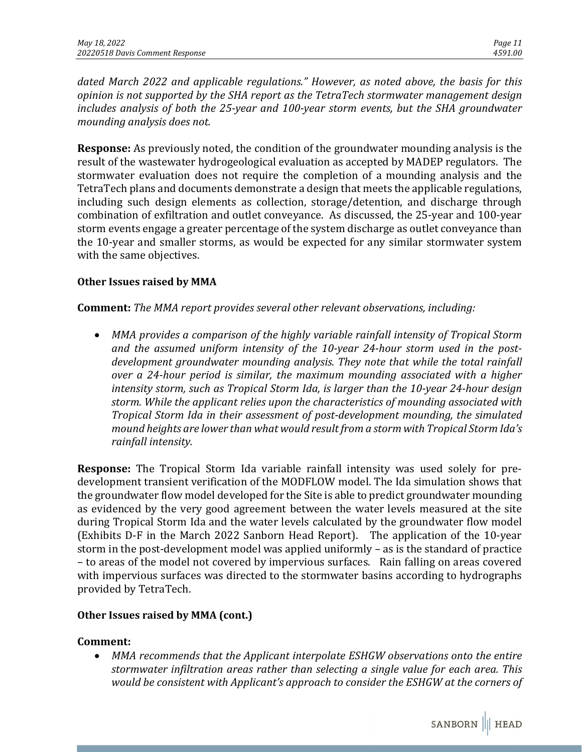*dated March 2022 and applicable regulations." However, as noted above, the basis for this opinion is not supported by the SHA report as the TetraTech stormwater management design includes analysis of both the 25-year and 100-year storm events, but the SHA groundwater mounding analysis does not.*

**Response:** As previously noted, the condition of the groundwater mounding analysis is the result of the wastewater hydrogeological evaluation as accepted by MADEP regulators. The stormwater evaluation does not require the completion of a mounding analysis and the TetraTech plans and documents demonstrate a design that meets the applicable regulations, including such design elements as collection, storage/detention, and discharge through combination of exfiltration and outlet conveyance. As discussed, the 25-year and 100-year storm events engage a greater percentage of the system discharge as outlet conveyance than the 10-year and smaller storms, as would be expected for any similar stormwater system with the same objectives.

#### **Other Issues raised by MMA**

**Comment:** *The MMA report provides several other relevant observations, including:* 

• *MMA provides a comparison of the highly variable rainfall intensity of Tropical Storm and the assumed uniform intensity of the 10-year 24-hour storm used in the postdevelopment groundwater mounding analysis. They note that while the total rainfall over a 24-hour period is similar, the maximum mounding associated with a higher intensity storm, such as Tropical Storm Ida, is larger than the 10-year 24-hour design storm. While the applicant relies upon the characteristics of mounding associated with Tropical Storm Ida in their assessment of post-development mounding, the simulated mound heights are lower than what would result from a storm with Tropical Storm Ida's rainfall intensity.* 

**Response:** The Tropical Storm Ida variable rainfall intensity was used solely for predevelopment transient verification of the MODFLOW model. The Ida simulation shows that the groundwater flow model developed for the Site is able to predict groundwater mounding as evidenced by the very good agreement between the water levels measured at the site during Tropical Storm Ida and the water levels calculated by the groundwater flow model (Exhibits D-F in the March 2022 Sanborn Head Report). The application of the 10-year storm in the post-development model was applied uniformly – as is the standard of practice – to areas of the model not covered by impervious surfaces. Rain falling on areas covered with impervious surfaces was directed to the stormwater basins according to hydrographs provided by TetraTech.

## **Other Issues raised by MMA (cont.)**

## **Comment:**

• *MMA recommends that the Applicant interpolate ESHGW observations onto the entire stormwater infiltration areas rather than selecting a single value for each area. This would be consistent with Applicant's approach to consider the ESHGW at the corners of*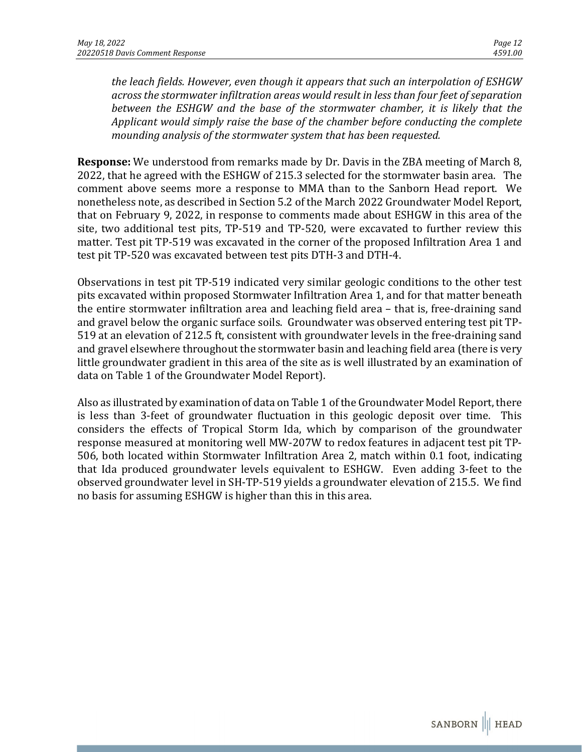*the leach fields. However, even though it appears that such an interpolation of ESHGW across the stormwater infiltration areas would result in less than four feet of separation between the ESHGW and the base of the stormwater chamber, it is likely that the Applicant would simply raise the base of the chamber before conducting the complete mounding analysis of the stormwater system that has been requested.* 

**Response:** We understood from remarks made by Dr. Davis in the ZBA meeting of March 8, 2022, that he agreed with the ESHGW of 215.3 selected for the stormwater basin area. The comment above seems more a response to MMA than to the Sanborn Head report. We nonetheless note, as described in Section 5.2 of the March 2022 Groundwater Model Report, that on February 9, 2022, in response to comments made about ESHGW in this area of the site, two additional test pits, TP-519 and TP-520, were excavated to further review this matter. Test pit TP-519 was excavated in the corner of the proposed Infiltration Area 1 and test pit TP-520 was excavated between test pits DTH-3 and DTH-4.

Observations in test pit TP-519 indicated very similar geologic conditions to the other test pits excavated within proposed Stormwater Infiltration Area 1, and for that matter beneath the entire stormwater infiltration area and leaching field area – that is, free-draining sand and gravel below the organic surface soils. Groundwater was observed entering test pit TP-519 at an elevation of 212.5 ft, consistent with groundwater levels in the free-draining sand and gravel elsewhere throughout the stormwater basin and leaching field area (there is very little groundwater gradient in this area of the site as is well illustrated by an examination of data on Table 1 of the Groundwater Model Report).

Also as illustrated by examination of data on Table 1 of the Groundwater Model Report, there is less than 3-feet of groundwater fluctuation in this geologic deposit over time. This considers the effects of Tropical Storm Ida, which by comparison of the groundwater response measured at monitoring well MW-207W to redox features in adjacent test pit TP-506, both located within Stormwater Infiltration Area 2, match within 0.1 foot, indicating that Ida produced groundwater levels equivalent to ESHGW. Even adding 3-feet to the observed groundwater level in SH-TP-519 yields a groundwater elevation of 215.5. We find no basis for assuming ESHGW is higher than this in this area.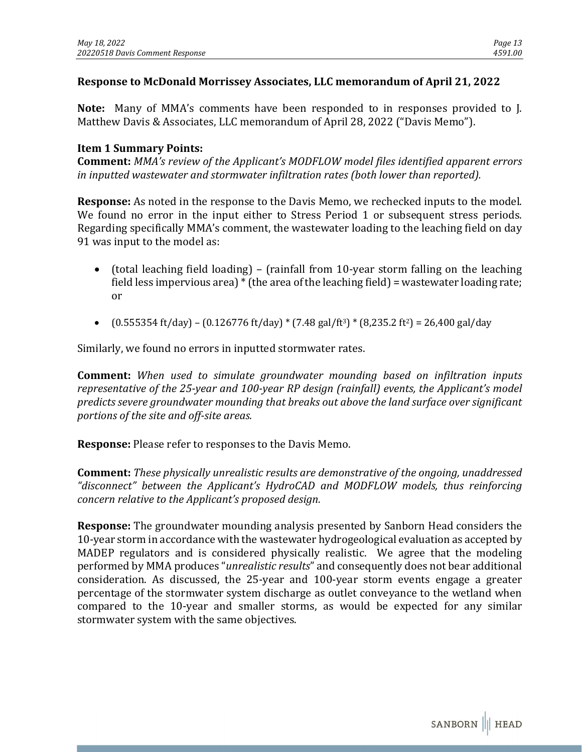## **Response to McDonald Morrissey Associates, LLC memorandum of April 21, 2022**

**Note:** Many of MMA's comments have been responded to in responses provided to J. Matthew Davis & Associates, LLC memorandum of April 28, 2022 ("Davis Memo").

#### **Item 1 Summary Points:**

**Comment:** *MMA's review of the Applicant's MODFLOW model files identified apparent errors in inputted wastewater and stormwater infiltration rates (both lower than reported).*

**Response:** As noted in the response to the Davis Memo, we rechecked inputs to the model. We found no error in the input either to Stress Period 1 or subsequent stress periods. Regarding specifically MMA's comment, the wastewater loading to the leaching field on day 91 was input to the model as:

- (total leaching field loading) (rainfall from 10-year storm falling on the leaching field less impervious area) \* (the area of the leaching field) = wastewater loading rate; or
- $(0.555354 \text{ ft/day}) (0.126776 \text{ ft/day}) * (7.48 \text{ gal/ft}^3) * (8.235.2 \text{ ft}^2) = 26.400 \text{ gal/day}$

Similarly, we found no errors in inputted stormwater rates.

**Comment:** *When used to simulate groundwater mounding based on infiltration inputs representative of the 25-year and 100-year RP design (rainfall) events, the Applicant's model predicts severe groundwater mounding that breaks out above the land surface over significant portions of the site and off-site areas.*

**Response:** Please refer to responses to the Davis Memo.

**Comment:** *These physically unrealistic results are demonstrative of the ongoing, unaddressed "disconnect" between the Applicant's HydroCAD and MODFLOW models, thus reinforcing concern relative to the Applicant's proposed design.* 

**Response:** The groundwater mounding analysis presented by Sanborn Head considers the 10-year storm in accordance with the wastewater hydrogeological evaluation as accepted by MADEP regulators and is considered physically realistic. We agree that the modeling performed by MMA produces "*unrealistic results*" and consequently does not bear additional consideration. As discussed, the 25-year and 100-year storm events engage a greater percentage of the stormwater system discharge as outlet conveyance to the wetland when compared to the 10-year and smaller storms, as would be expected for any similar stormwater system with the same objectives.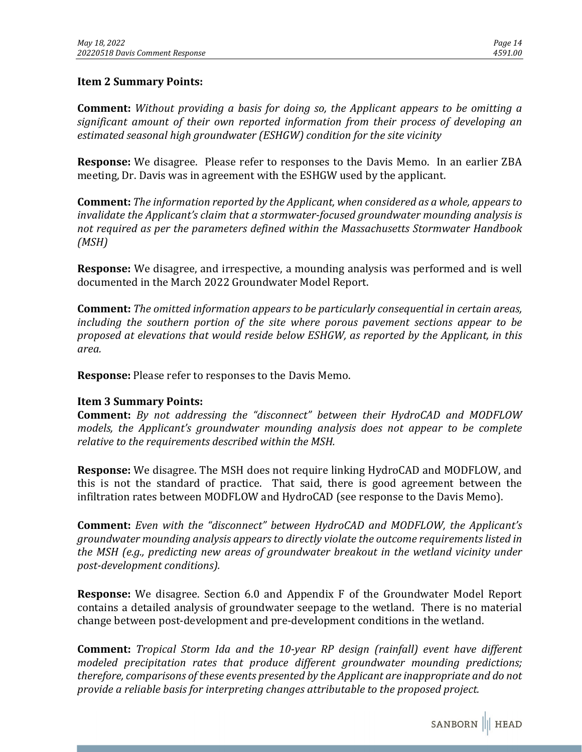#### **Item 2 Summary Points:**

**Comment:** *Without providing a basis for doing so, the Applicant appears to be omitting a significant amount of their own reported information from their process of developing an estimated seasonal high groundwater (ESHGW) condition for the site vicinity*

**Response:** We disagree. Please refer to responses to the Davis Memo. In an earlier ZBA meeting, Dr. Davis was in agreement with the ESHGW used by the applicant.

**Comment:** *The information reported by the Applicant, when considered as a whole, appears to invalidate the Applicant's claim that a stormwater-focused groundwater mounding analysis is not required as per the parameters defined within the Massachusetts Stormwater Handbook (MSH)*

**Response:** We disagree, and irrespective, a mounding analysis was performed and is well documented in the March 2022 Groundwater Model Report.

**Comment:** *The omitted information appears to be particularly consequential in certain areas, including the southern portion of the site where porous pavement sections appear to be proposed at elevations that would reside below ESHGW, as reported by the Applicant, in this area.*

**Response:** Please refer to responses to the Davis Memo.

#### **Item 3 Summary Points:**

**Comment:** *By not addressing the "disconnect" between their HydroCAD and MODFLOW models, the Applicant's groundwater mounding analysis does not appear to be complete relative to the requirements described within the MSH.*

**Response:** We disagree. The MSH does not require linking HydroCAD and MODFLOW, and this is not the standard of practice. That said, there is good agreement between the infiltration rates between MODFLOW and HydroCAD (see response to the Davis Memo).

**Comment:** *Even with the "disconnect" between HydroCAD and MODFLOW, the Applicant's groundwater mounding analysis appears to directly violate the outcome requirements listed in the MSH (e.g., predicting new areas of groundwater breakout in the wetland vicinity under post-development conditions).*

**Response:** We disagree. Section 6.0 and Appendix F of the Groundwater Model Report contains a detailed analysis of groundwater seepage to the wetland. There is no material change between post-development and pre-development conditions in the wetland.

**Comment:** *Tropical Storm Ida and the 10-year RP design (rainfall) event have different modeled precipitation rates that produce different groundwater mounding predictions; therefore, comparisons of these events presented by the Applicant are inappropriate and do not provide a reliable basis for interpreting changes attributable to the proposed project.*